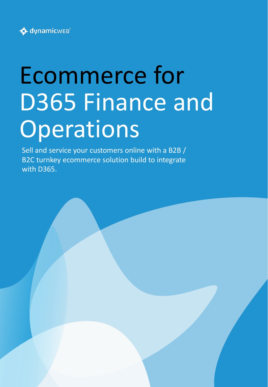

# Ecommerce for D365 Finance and **Operations**

Sell and service your customers online with a B2B / B2C turnkey ecommerce solution build to integrate with D365.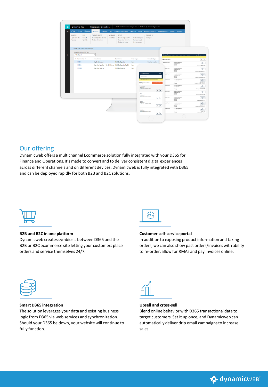

## Our offering

Dynamicweb offers a multichannel Ecommerce solution fully integrated with your D365 for Finance and Operations. It's made to convert and to deliver consistent digital experiences across different channels and on different devices. Dynamicweb is fully integrated with D365 and can be deployed rapidly for both B2B and B2C solutions.



## **B2B and B2C in one platform**

Dynamicweb creates symbiosis between D365 and the B2B or B2C ecommerce site letting your customers place orders and service themselves 24/7.



## **Customer self-service portal**

In addition to exposing product information and taking orders, we can also show past orders/invoices with ability to re-order, allow for RMAs and pay invoices online.



## **Smart D365 integration**

The solution leverages your data and existing business logic from D365 via web services and synchronization. Should your D365 be down, your website will continue to fully function.



## **Upsell and cross-sell**

Blend online behavior with D365 transactional data to target customers. Set it up once, and Dynamicweb can automatically deliver drip email campaigns to increase sales.

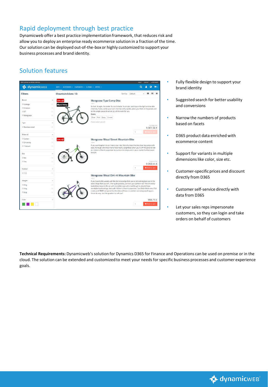# Rapid deployment through best practice

Dynamicweb offer a best practice implementation framework, that reduces risk and allow you to deploy an enterprise ready ecommerce solution in a fraction of the time. Our solution can be deployed out-of-the-box or highly customized to support your business processes and brand identity.

# Solution features

| dynamicwes                                          | BIKES $\sim$ Accessories $\sim$ Components $\sim$ Clothing $\sim$ Offers $\sim$ | a<br>шr                                                                                                                                                                                 |
|-----------------------------------------------------|---------------------------------------------------------------------------------|-----------------------------------------------------------------------------------------------------------------------------------------------------------------------------------------|
| <b>Filters</b>                                      | Mountain bikes: 13                                                              | Sort by Default<br>田<br>僵<br>疆                                                                                                                                                          |
| Brand                                               | $\sim$<br>25% off                                                               | Mongoose Tyax Comp Disc                                                                                                                                                                 |
| Colnago                                             | 10001<br>(1)<br><b>Black friday</b>                                             |                                                                                                                                                                                         |
| E-totem                                             | U.                                                                              | So fast. So agile. So stable. So comfortable. So simple. Just hop on the light and durable<br>chromoly frame, settle your tush into the comfy saddle, place your feet on the pedals and |
| T3.0                                                | (2)                                                                             | let the single speed drivetrain do all the work for you.                                                                                                                                |
| Mongoose                                            | Colors<br>$^{(0)}$                                                              | Blue Red Grey Green                                                                                                                                                                     |
| Type                                                | Please select variant!<br>$\hat{\phantom{a}}$                                   |                                                                                                                                                                                         |
| Stainless steel                                     | (B)                                                                             | 42-500.75€<br>9.381,56€                                                                                                                                                                 |
|                                                     |                                                                                 | <b>WAdd to ca</b><br>1                                                                                                                                                                  |
|                                                     |                                                                                 |                                                                                                                                                                                         |
|                                                     | $\lambda$<br>m                                                                  |                                                                                                                                                                                         |
| Material<br>Carbon<br>Chromoly                      | 25% of<br>(7)<br>10096                                                          | Mongoose Ritual Street Mountain Bike                                                                                                                                                    |
|                                                     | 回                                                                               | If you want baptism by air, here's your ride. Not only does this bike clear big jumps with<br>ease, its tough, chromoly frame feels nearly weightless when you're off the ground! Add   |
|                                                     | barspin.                                                                        | on 100mm of front suspension to cushion the drops and 3-piece cranks for that sweet                                                                                                     |
| <b>Titanium</b><br>Eco<br>□ No                      | 9                                                                               |                                                                                                                                                                                         |
|                                                     | 841                                                                             | 12491-256                                                                                                                                                                               |
| Ves                                                 |                                                                                 | 9.368.44€<br><b>R</b> Add to cart<br>1                                                                                                                                                  |
|                                                     | $\sim$<br>$ 5\rangle$                                                           |                                                                                                                                                                                         |
|                                                     | 10125                                                                           | Mongoose Ritual Dirt-Hi Mountain Bike                                                                                                                                                   |
|                                                     | $\scriptstyle\sim$                                                              | If you head to the woods with the full knowledge that you're not coming back out in the                                                                                                 |
|                                                     | (7)                                                                             | same shape that you leftthen quite possibly, we have your perfect ride! This chromoly-<br>loaded bike takes to the air with incredible ease yet is built tough to absorb those          |
|                                                     | $^{(5)}$                                                                        | inevitable hard landings. And with 100mm of front suspension, Sun Ditch Witch rims, FSA                                                                                                 |
| Format<br>■123<br>Weight<br>O kg<br>□ 5 kg<br>□9 kg | m                                                                               | cranks and SRAM componentry, this bike will have no problem surviving anything you<br>throw its waybut the question is, will you?                                                       |
| Color                                               | $\lambda$                                                                       | 998.75€                                                                                                                                                                                 |

- Fully flexible design to support your brand identity
- Suggested search for better usability and conversions
- Narrow the numbers of products based on facets
- D365 product data enriched with ecommerce content
- Support for variants in multiple dimensions like color, size etc.
- Customer-specific prices and discount directly from D365
- Customer self-service directly with data from D365
- Let your sales reps impersonate customers, so they can login and take orders on behalf of customers

**Technical Requirements:** Dynamicweb'ssolution for Dynamics D365 for Finance and Operations can be used on premise or in the cloud. The solution can be extended and customized to meet your needs for specific business processes and customer experience goals.